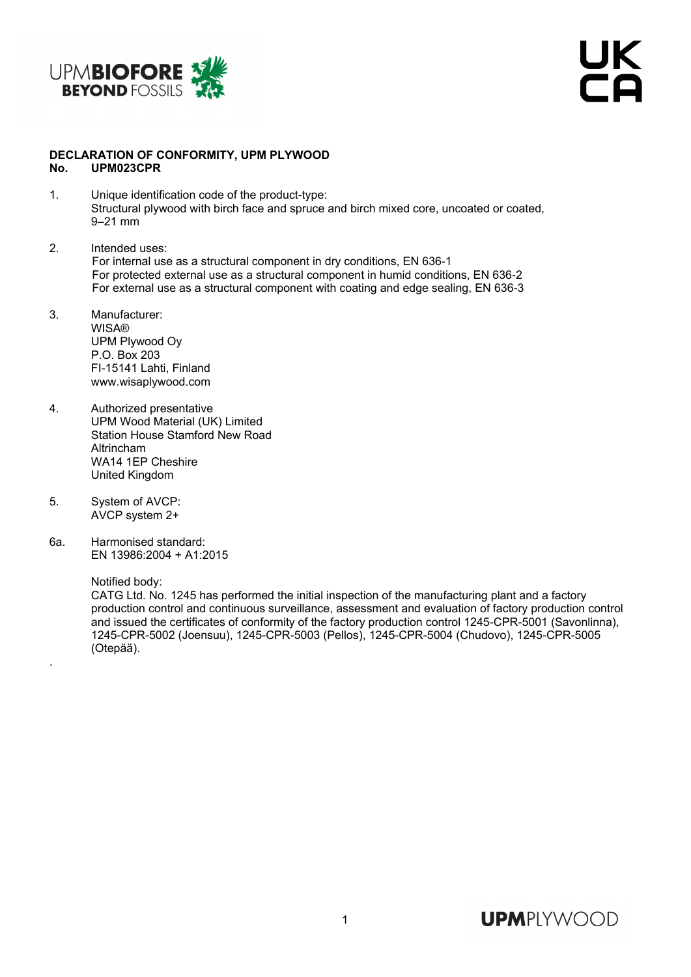



## **DECLARATION OF CONFORMITY, UPM PLYWOOD No. UPM023CPR**

- 1. Unique identification code of the product-type: Structural plywood with birch face and spruce and birch mixed core, uncoated or coated, 9–21 mm
- 2. Intended uses: For internal use as a structural component in dry conditions, EN 636-1 For protected external use as a structural component in humid conditions, EN 636-2 For external use as a structural component with coating and edge sealing, EN 636-3
- 3. Manufacturer: **WISA®** UPM Plywood Oy P.O. Box 203 FI-15141 Lahti, Finland www.wisaplywood.com
- 4. Authorized presentative UPM Wood Material (UK) Limited Station House Stamford New Road Altrincham WA14 1EP Cheshire United Kingdom
- 5. System of AVCP: AVCP system 2+
- 6a. Harmonised standard: EN 13986:2004 + A1:2015

Notified body:

.

 CATG Ltd. No. 1245 has performed the initial inspection of the manufacturing plant and a factory production control and continuous surveillance, assessment and evaluation of factory production control and issued the certificates of conformity of the factory production control 1245-CPR-5001 (Savonlinna), 1245-CPR-5002 (Joensuu), 1245-CPR-5003 (Pellos), 1245-CPR-5004 (Chudovo), 1245-CPR-5005 (Otepää).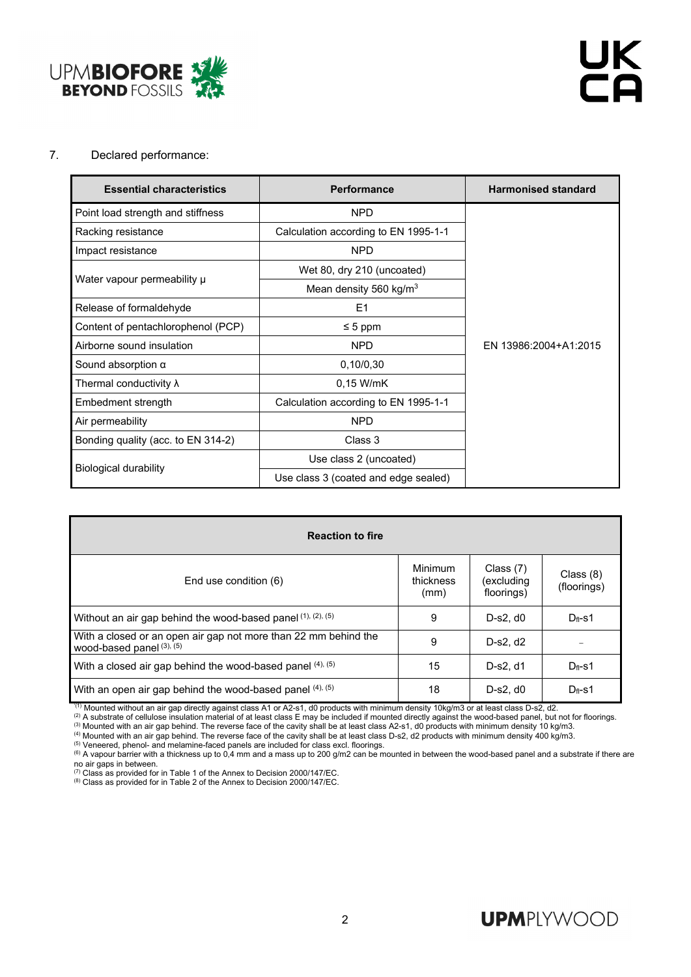

## 7. Declared performance:

| <b>Essential characteristics</b>   | <b>Performance</b>                   | <b>Harmonised standard</b> |  |  |
|------------------------------------|--------------------------------------|----------------------------|--|--|
| Point load strength and stiffness  | <b>NPD</b>                           |                            |  |  |
| Racking resistance                 | Calculation according to EN 1995-1-1 |                            |  |  |
| Impact resistance                  | <b>NPD</b>                           |                            |  |  |
| Water vapour permeability µ        | Wet 80, dry 210 (uncoated)           |                            |  |  |
|                                    | Mean density 560 kg/m <sup>3</sup>   |                            |  |  |
| Release of formaldehyde            | E1                                   |                            |  |  |
| Content of pentachlorophenol (PCP) | $\leq 5$ ppm                         |                            |  |  |
| Airborne sound insulation          | <b>NPD</b>                           | EN 13986:2004+A1:2015      |  |  |
| Sound absorption $\alpha$          | 0,10/0,30                            |                            |  |  |
| Thermal conductivity $\lambda$     | $0.15$ W/mK                          |                            |  |  |
| Embedment strength                 | Calculation according to EN 1995-1-1 |                            |  |  |
| Air permeability                   | <b>NPD</b>                           |                            |  |  |
| Bonding quality (acc. to EN 314-2) | Class 3                              |                            |  |  |
|                                    | Use class 2 (uncoated)               |                            |  |  |
| <b>Biological durability</b>       | Use class 3 (coated and edge sealed) |                            |  |  |

| <b>Reaction to fire</b>                                                                           |                                     |                                         |                          |  |  |  |  |  |
|---------------------------------------------------------------------------------------------------|-------------------------------------|-----------------------------------------|--------------------------|--|--|--|--|--|
| End use condition (6)                                                                             | <b>Minimum</b><br>thickness<br>(mm) | Class $(7)$<br>(excluding<br>floorings) | Class (8)<br>(floorings) |  |  |  |  |  |
| Without an air gap behind the wood-based panel $(1)$ , $(2)$ , $(5)$                              | 9                                   | $D-s2. d0$                              | $D_f-S1$                 |  |  |  |  |  |
| With a closed or an open air gap not more than 22 mm behind the<br>wood-based panel $(3)$ , $(5)$ | 9                                   | D-s2, d2                                |                          |  |  |  |  |  |
| With a closed air gap behind the wood-based panel (4), (5)                                        | 15                                  | D-s2, d1                                | $D_{\rm fl}$ -s1         |  |  |  |  |  |
| With an open air gap behind the wood-based panel (4), (5)                                         | 18                                  | $D-s2. d0$                              | $D_f-S1$                 |  |  |  |  |  |

(1) Mounted without an air gap directly against class A1 or A2-s1, d0 products with minimum density 10kg/m3 or at least class D-s2, d2.<br>
(2) A substrate of cellulose insulation material of at least class E may be included no air gaps in between.<br>
<sup>(7)</sup> Class as provided for in Table 1 of the Annex to Decision 2000/147/EC.

(7) Class as provided for in Table 1 of the Annex to Decision 2000/147/EC. (8) Class as provided for in Table 2 of the Annex to Decision 2000/147/EC.